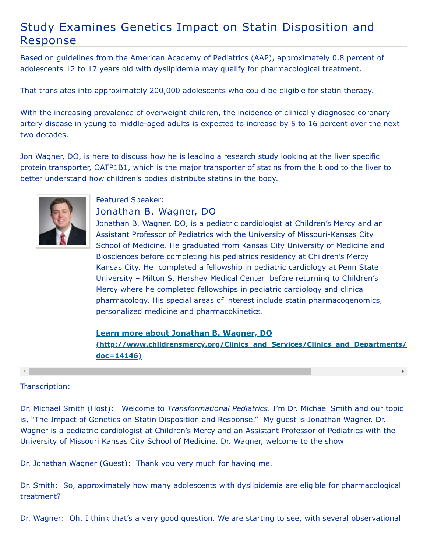## Study Examines Genetics Impact on Statin Disposition and Response

Based on guidelines from the American Academy of Pediatrics (AAP), approximately 0.8 percent of adolescents 12 to 17 years old with dyslipidemia may qualify for pharmacological treatment.

That translates into approximately 200,000 adolescents who could be eligible for statin therapy.

With the increasing prevalence of overweight children, the incidence of clinically diagnosed coronary artery disease in young to middle-aged adults is expected to increase by 5 to 16 percent over the next two decades.

Jon Wagner, DO, is here to discuss how he is leading a research study looking at the liver specific protein transporter, OATP1B1, which is the major transporter of statins from the blood to the liver to better understand how children's bodies distribute statins in the body.



## Featured Speaker:

Jonathan B. Wagner, DO

Jonathan B. Wagner, DO, is a pediatric cardiologist at Children's Mercy and an Assistant Professor of Pediatrics with the University of Missouri-Kansas City School of Medicine. He graduated from Kansas City University of Medicine and Biosciences before completing his pediatrics residency at Children's Mercy Kansas City. He completed a fellowship in pediatric cardiology at Penn State University – Milton S. Hershey Medical Center before returning to Children's Mercy where he completed fellowships in pediatric cardiology and clinical pharmacology. His special areas of interest include statin pharmacogenomics, personalized medicine and pharmacokinetics.

**Learn more about Jonathan B. Wagner, DO [\(http://www.childrensmercy.org/Clinics\\_and\\_Services/Clinics\\_and\\_Departments/C](http://www.childrensmercy.org/Clinics_and_Services/Clinics_and_Departments/Cardiology/Faculty_and_Staff/?doc=14146) doc=14146)**

 $\mathbf{F}^{\top}$ 

## Transcription:

Dr. Michael Smith (Host): Welcome to *Transformational Pediatrics*. I'm Dr. Michael Smith and our topic is, "The Impact of Genetics on Statin Disposition and Response." My guest is Jonathan Wagner. Dr. Wagner is a pediatric cardiologist at Children's Mercy and an Assistant Professor of Pediatrics with the University of Missouri Kansas City School of Medicine. Dr. Wagner, welcome to the show

Dr. Jonathan Wagner (Guest): Thank you very much for having me.

Dr. Smith: So, approximately how many adolescents with dyslipidemia are eligible for pharmacological treatment?

Dr. Wagner: Oh, I think that's a very good question. We are starting to see, with several observational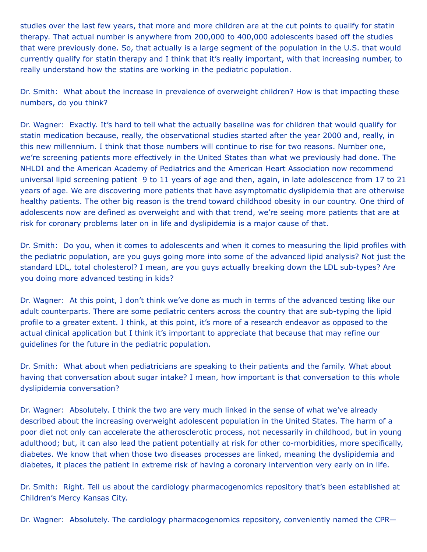studies over the last few years, that more and more children are at the cut points to qualify for statin therapy. That actual number is anywhere from 200,000 to 400,000 adolescents based off the studies that were previously done. So, that actually is a large segment of the population in the U.S. that would currently qualify for statin therapy and I think that it's really important, with that increasing number, to really understand how the statins are working in the pediatric population.

Dr. Smith: What about the increase in prevalence of overweight children? How is that impacting these numbers, do you think?

Dr. Wagner: Exactly. It's hard to tell what the actually baseline was for children that would qualify for statin medication because, really, the observational studies started after the year 2000 and, really, in this new millennium. I think that those numbers will continue to rise for two reasons. Number one, we're screening patients more effectively in the United States than what we previously had done. The NHLDI and the American Academy of Pediatrics and the American Heart Association now recommend universal lipid screening patient 9 to 11 years of age and then, again, in late adolescence from 17 to 21 years of age. We are discovering more patients that have asymptomatic dyslipidemia that are otherwise healthy patients. The other big reason is the trend toward childhood obesity in our country. One third of adolescents now are defined as overweight and with that trend, we're seeing more patients that are at risk for coronary problems later on in life and dyslipidemia is a major cause of that.

Dr. Smith: Do you, when it comes to adolescents and when it comes to measuring the lipid profiles with the pediatric population, are you guys going more into some of the advanced lipid analysis? Not just the standard LDL, total cholesterol? I mean, are you guys actually breaking down the LDL sub-types? Are you doing more advanced testing in kids?

Dr. Wagner: At this point, I don't think we've done as much in terms of the advanced testing like our adult counterparts. There are some pediatric centers across the country that are sub-typing the lipid profile to a greater extent. I think, at this point, it's more of a research endeavor as opposed to the actual clinical application but I think it's important to appreciate that because that may refine our guidelines for the future in the pediatric population.

Dr. Smith: What about when pediatricians are speaking to their patients and the family. What about having that conversation about sugar intake? I mean, how important is that conversation to this whole dyslipidemia conversation?

Dr. Wagner: Absolutely. I think the two are very much linked in the sense of what we've already described about the increasing overweight adolescent population in the United States. The harm of a poor diet not only can accelerate the atherosclerotic process, not necessarily in childhood, but in young adulthood; but, it can also lead the patient potentially at risk for other co-morbidities, more specifically, diabetes. We know that when those two diseases processes are linked, meaning the dyslipidemia and diabetes, it places the patient in extreme risk of having a coronary intervention very early on in life.

Dr. Smith: Right. Tell us about the cardiology pharmacogenomics repository that's been established at Children's Mercy Kansas City.

Dr. Wagner: Absolutely. The cardiology pharmacogenomics repository, conveniently named the CPR—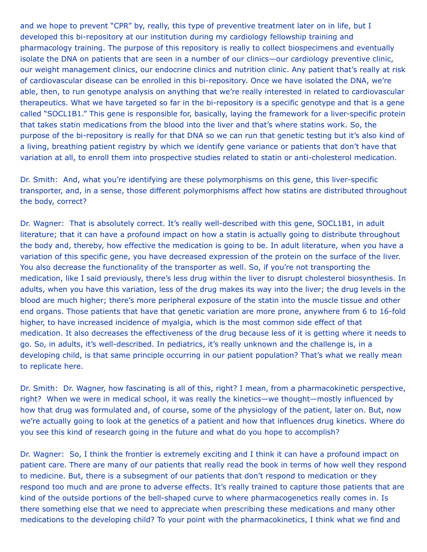and we hope to prevent "CPR" by, really, this type of preventive treatment later on in life, but I developed this bi-repository at our institution during my cardiology fellowship training and pharmacology training. The purpose of this repository is really to collect biospecimens and eventually isolate the DNA on patients that are seen in a number of our clinics—our cardiology preventive clinic, our weight management clinics, our endocrine clinics and nutrition clinic. Any patient that's really at risk of cardiovascular disease can be enrolled in this bi-repository. Once we have isolated the DNA, we're able, then, to run genotype analysis on anything that we're really interested in related to cardiovascular therapeutics. What we have targeted so far in the bi-repository is a specific genotype and that is a gene called "SOCL1B1." This gene is responsible for, basically, laying the framework for a liver-specific protein that takes statin medications from the blood into the liver and that's where statins work. So, the purpose of the bi-repository is really for that DNA so we can run that genetic testing but it's also kind of a living, breathing patient registry by which we identify gene variance or patients that don't have that variation at all, to enroll them into prospective studies related to statin or anti-cholesterol medication.

Dr. Smith: And, what you're identifying are these polymorphisms on this gene, this liver-specific transporter, and, in a sense, those different polymorphisms affect how statins are distributed throughout the body, correct?

Dr. Wagner: That is absolutely correct. It's really well-described with this gene, SOCL1B1, in adult literature; that it can have a profound impact on how a statin is actually going to distribute throughout the body and, thereby, how effective the medication is going to be. In adult literature, when you have a variation of this specific gene, you have decreased expression of the protein on the surface of the liver. You also decrease the functionality of the transporter as well. So, if you're not transporting the medication, like I said previously, there's less drug within the liver to disrupt cholesterol biosynthesis. In adults, when you have this variation, less of the drug makes its way into the liver; the drug levels in the blood are much higher; there's more peripheral exposure of the statin into the muscle tissue and other end organs. Those patients that have that genetic variation are more prone, anywhere from 6 to 16-fold higher, to have increased incidence of myalgia, which is the most common side effect of that medication. It also decreases the effectiveness of the drug because less of it is getting where it needs to go. So, in adults, it's well-described. In pediatrics, it's really unknown and the challenge is, in a developing child, is that same principle occurring in our patient population? That's what we really mean to replicate here.

Dr. Smith: Dr. Wagner, how fascinating is all of this, right? I mean, from a pharmacokinetic perspective, right? When we were in medical school, it was really the kinetics—we thought—mostly influenced by how that drug was formulated and, of course, some of the physiology of the patient, later on. But, now we're actually going to look at the genetics of a patient and how that influences drug kinetics. Where do you see this kind of research going in the future and what do you hope to accomplish?

Dr. Wagner: So, I think the frontier is extremely exciting and I think it can have a profound impact on patient care. There are many of our patients that really read the book in terms of how well they respond to medicine. But, there is a subsegment of our patients that don't respond to medication or they respond too much and are prone to adverse effects. It's really trained to capture those patients that are kind of the outside portions of the bell-shaped curve to where pharmacogenetics really comes in. Is there something else that we need to appreciate when prescribing these medications and many other medications to the developing child? To your point with the pharmacokinetics, I think what we find and